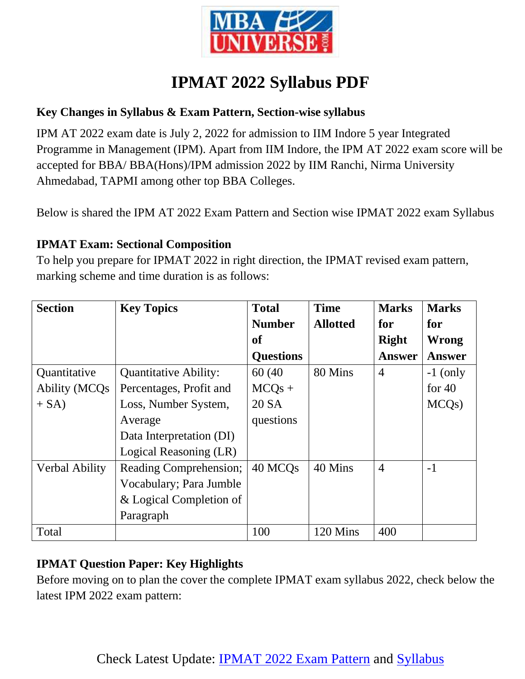

# **IPMAT 2022 Syllabus PDF**

#### **Key Changes in Syllabus & Exam Pattern, Section-wise syllabus**

IPM AT 2022 exam date is July 2, 2022 for admission to IIM Indore 5 year Integrated Programme in Management (IPM). Apart from IIM Indore, the IPM AT 2022 exam score will be accepted for BBA/ BBA(Hons)/IPM admission 2022 by IIM Ranchi, Nirma University Ahmedabad, TAPMI among other top BBA Colleges.

Below is shared the IPM AT 2022 Exam Pattern and Section wise IPMAT 2022 exam Syllabus

#### **IPMAT Exam: Sectional Composition**

To help you prepare for IPMAT 2022 in right direction, the IPMAT revised exam pattern, marking scheme and time duration is as follows:

| <b>Section</b>       | <b>Key Topics</b>            | <b>Total</b>        | <b>Time</b>     | <b>Marks</b>   | <b>Marks</b>       |
|----------------------|------------------------------|---------------------|-----------------|----------------|--------------------|
|                      |                              | <b>Number</b>       | <b>Allotted</b> | for            | for                |
|                      |                              | of                  |                 | <b>Right</b>   | <b>Wrong</b>       |
|                      |                              | <b>Questions</b>    |                 | <b>Answer</b>  | <b>Answer</b>      |
| Quantitative         | <b>Quantitative Ability:</b> | 60 (40)             | 80 Mins         | $\overline{4}$ | $-1$ (only         |
| <b>Ability (MCQs</b> | Percentages, Profit and      | $MCQs +$            |                 |                | for $40$           |
| $+ SA$ )             | Loss, Number System,         | 20 SA               |                 |                | MCQ <sub>s</sub> ) |
|                      | Average                      | questions           |                 |                |                    |
|                      | Data Interpretation (DI)     |                     |                 |                |                    |
|                      | Logical Reasoning (LR)       |                     |                 |                |                    |
| Verbal Ability       | Reading Comprehension;       | 40 MCQ <sub>s</sub> | 40 Mins         | $\overline{4}$ | $-1$               |
|                      | Vocabulary; Para Jumble      |                     |                 |                |                    |
|                      | & Logical Completion of      |                     |                 |                |                    |
|                      | Paragraph                    |                     |                 |                |                    |
| Total                |                              | 100                 | 120 Mins        | 400            |                    |

#### **IPMAT Question Paper: Key Highlights**

Before moving on to plan the cover the complete IPMAT exam syllabus 2022, check below the latest IPM 2022 exam pattern: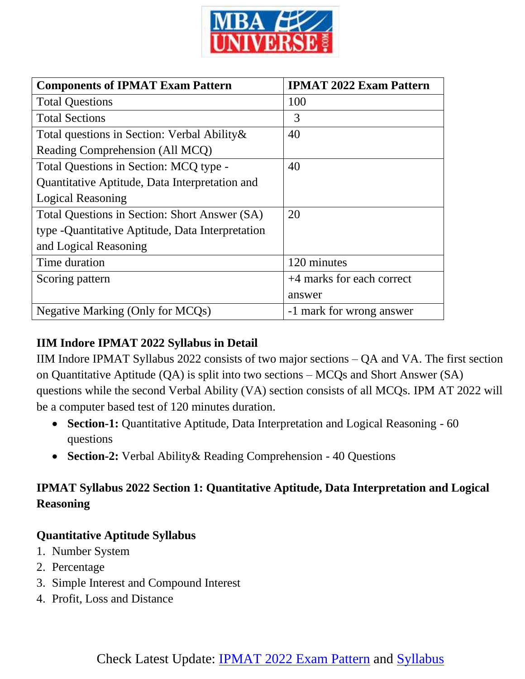

| <b>Components of IPMAT Exam Pattern</b>           | <b>IPMAT 2022 Exam Pattern</b> |  |  |
|---------------------------------------------------|--------------------------------|--|--|
| <b>Total Questions</b>                            | 100                            |  |  |
| <b>Total Sections</b>                             | 3                              |  |  |
| Total questions in Section: Verbal Ability &      | 40                             |  |  |
| Reading Comprehension (All MCQ)                   |                                |  |  |
| Total Questions in Section: MCQ type -            | 40                             |  |  |
| Quantitative Aptitude, Data Interpretation and    |                                |  |  |
| <b>Logical Reasoning</b>                          |                                |  |  |
| Total Questions in Section: Short Answer (SA)     | 20                             |  |  |
| type - Quantitative Aptitude, Data Interpretation |                                |  |  |
| and Logical Reasoning                             |                                |  |  |
| Time duration                                     | 120 minutes                    |  |  |
| Scoring pattern                                   | +4 marks for each correct      |  |  |
|                                                   | answer                         |  |  |
| Negative Marking (Only for MCQs)                  | -1 mark for wrong answer       |  |  |

#### **IIM Indore IPMAT 2022 Syllabus in Detail**

IIM Indore IPMAT Syllabus 2022 consists of two major sections – QA and VA. The first section on Quantitative Aptitude (QA) is split into two sections – MCQs and Short Answer (SA) questions while the second Verbal Ability (VA) section consists of all MCQs. IPM AT 2022 will be a computer based test of 120 minutes duration.

- **Section-1:** Quantitative Aptitude, Data Interpretation and Logical Reasoning 60 questions
- **Section-2:** Verbal Ability& Reading Comprehension 40 Questions

#### **IPMAT Syllabus 2022 Section 1: Quantitative Aptitude, Data Interpretation and Logical Reasoning**

#### **Quantitative Aptitude Syllabus**

- 1. Number System
- 2. Percentage
- 3. Simple Interest and Compound Interest
- 4. Profit, Loss and Distance